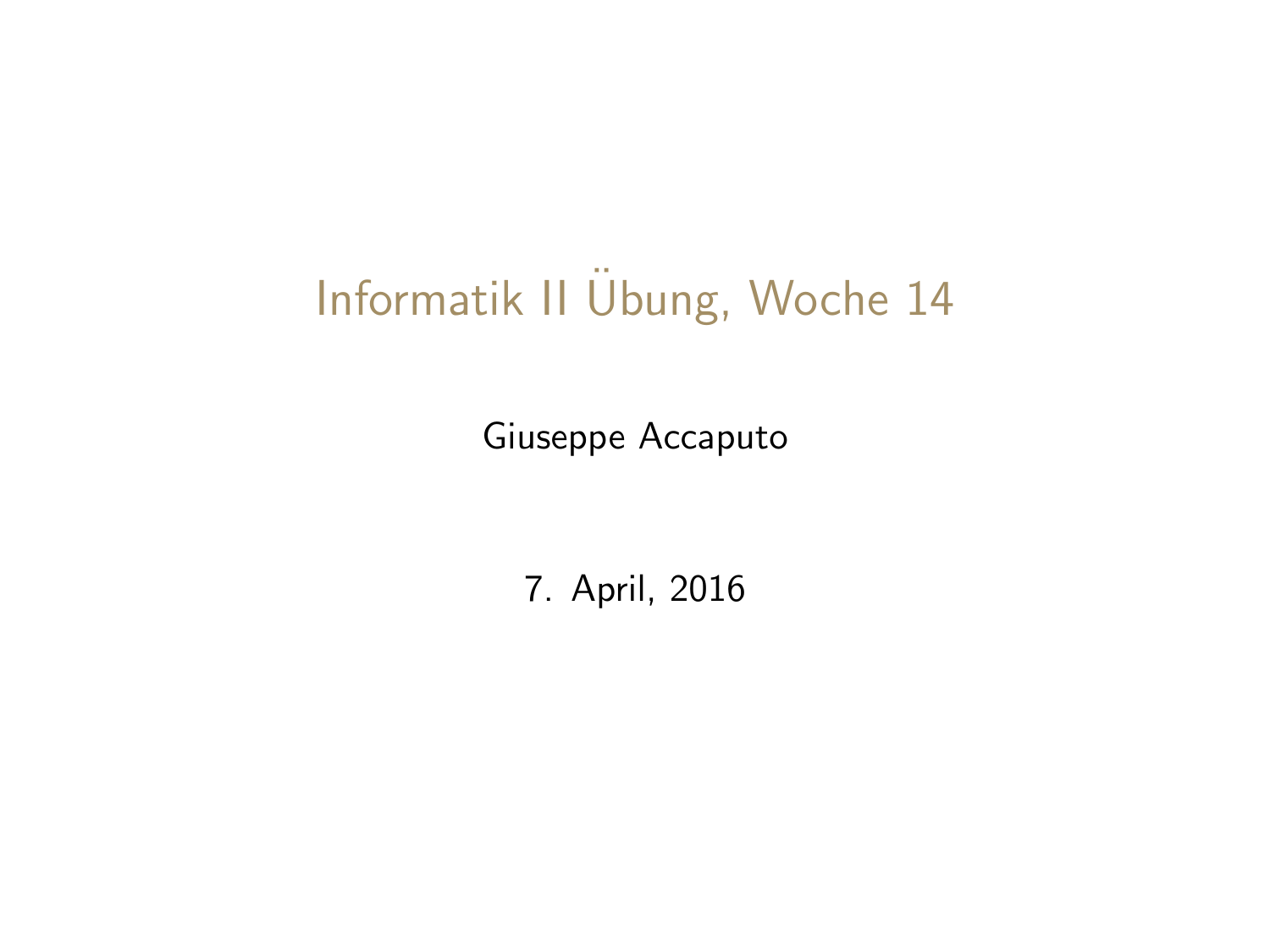# <span id="page-0-0"></span>Informatik II Übung, Woche 14

Giuseppe Accaputo

7. April, 2016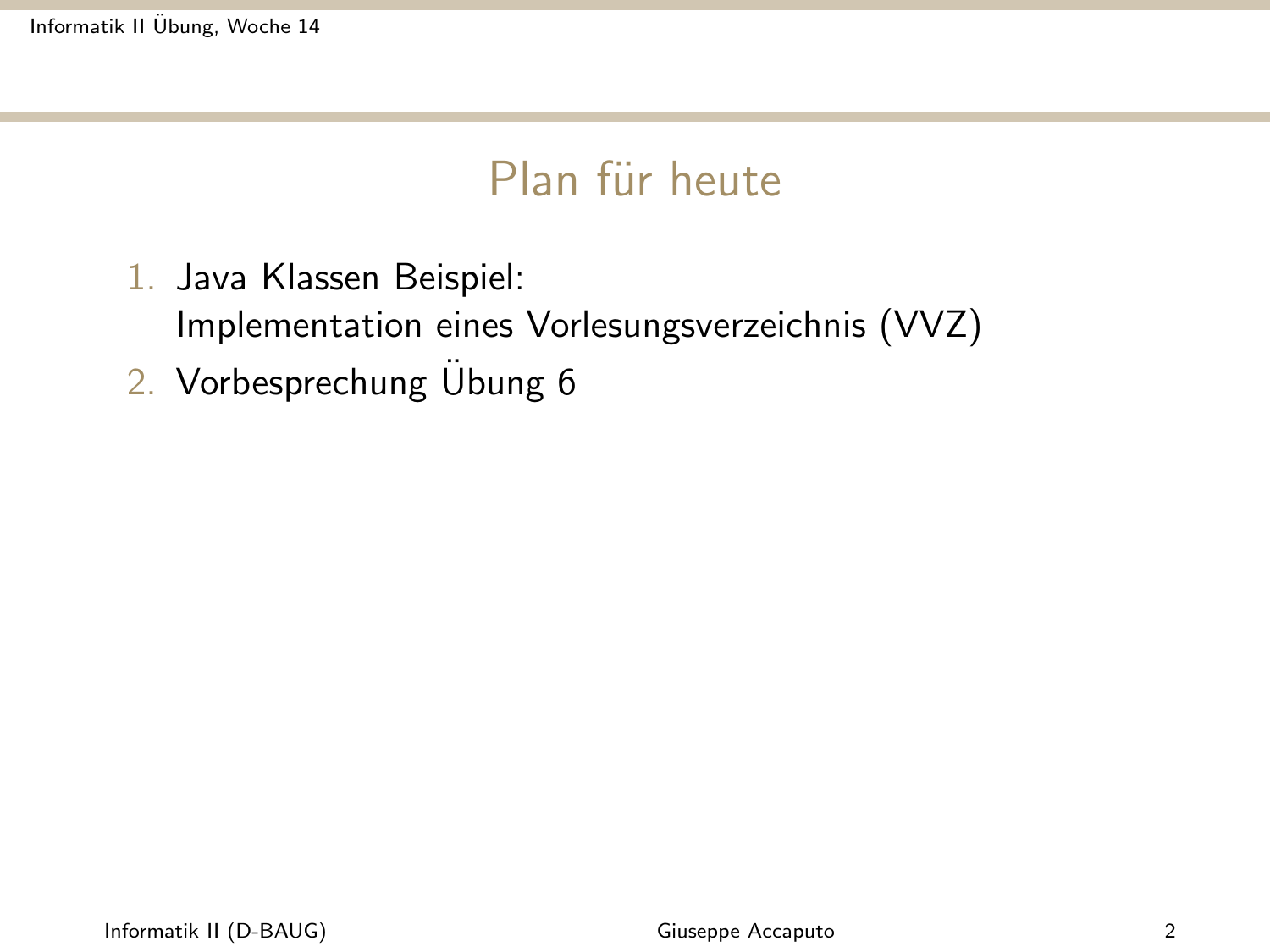Informatik II [Ubung, Woche 14](#page-0-0) ¨

### Plan für heute

- 1. Java Klassen Beispiel:
	- Implementation eines Vorlesungsverzeichnis (VVZ)
- 2. Vorbesprechung Übung 6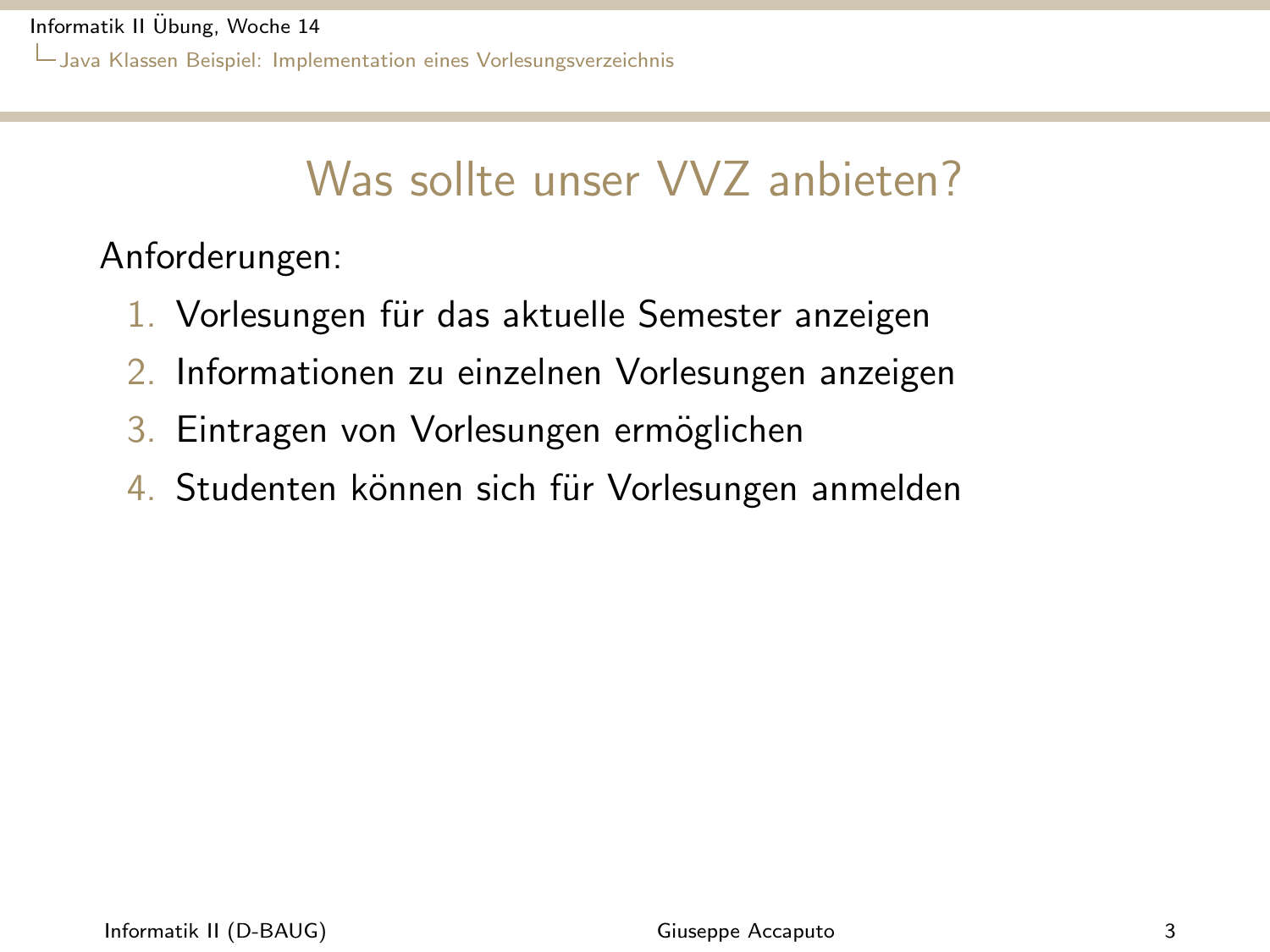<span id="page-2-0"></span>Informatik II [Ubung, Woche 14](#page-0-0) ¨ [Java Klassen Beispiel: Implementation eines Vorlesungsverzeichnis](#page-2-0)

## Was sollte unser VVZ anbieten?

Anforderungen:

- 1. Vorlesungen für das aktuelle Semester anzeigen
- 2. Informationen zu einzelnen Vorlesungen anzeigen
- 3. Eintragen von Vorlesungen ermöglichen
- 4. Studenten können sich für Vorlesungen anmelden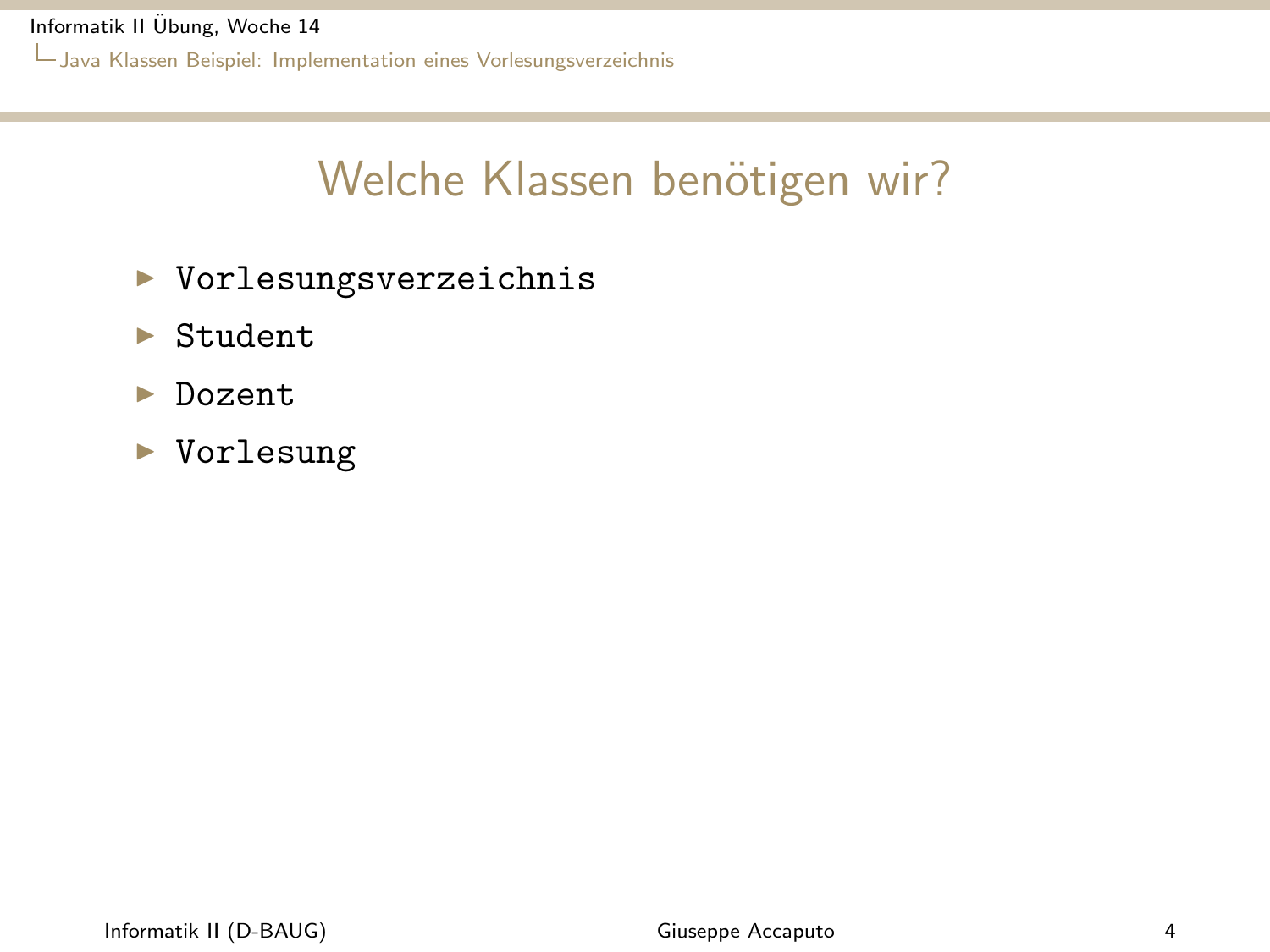<span id="page-3-0"></span>Informatik II [Ubung, Woche 14](#page-0-0) ¨

[Java Klassen Beispiel: Implementation eines Vorlesungsverzeichnis](#page-3-0)

### Welche Klassen benötigen wir?

- ▶ Vorlesungsverzeichnis
- $\blacktriangleright$  Student
- $\blacktriangleright$  Dozent
- $\blacktriangleright$  Vorlesung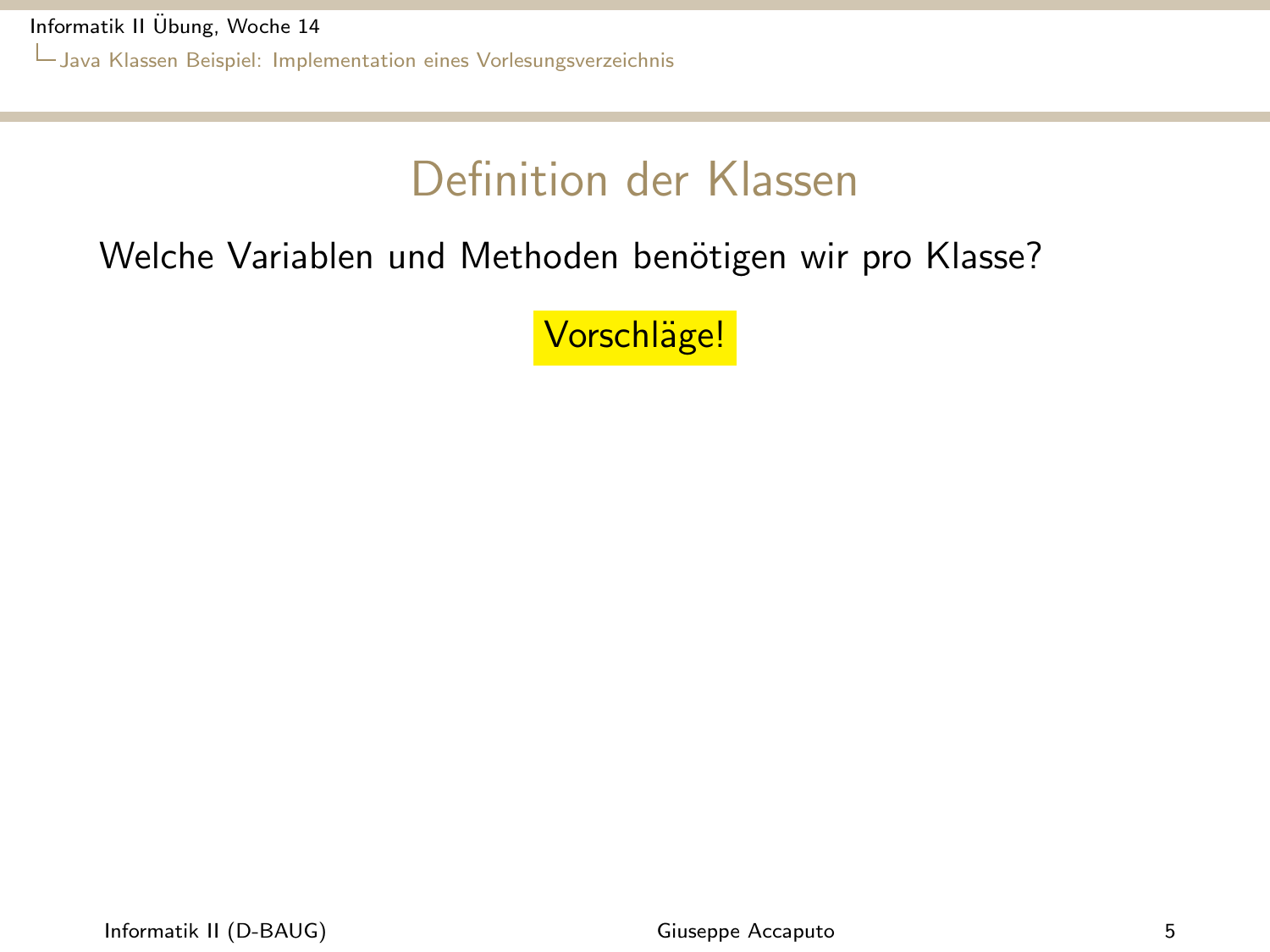<span id="page-4-0"></span>Informatik II [Ubung, Woche 14](#page-0-0) ¨ [Java Klassen Beispiel: Implementation eines Vorlesungsverzeichnis](#page-4-0)

## Definition der Klassen

#### Welche Variablen und Methoden benötigen wir pro Klasse?

Vorschläge!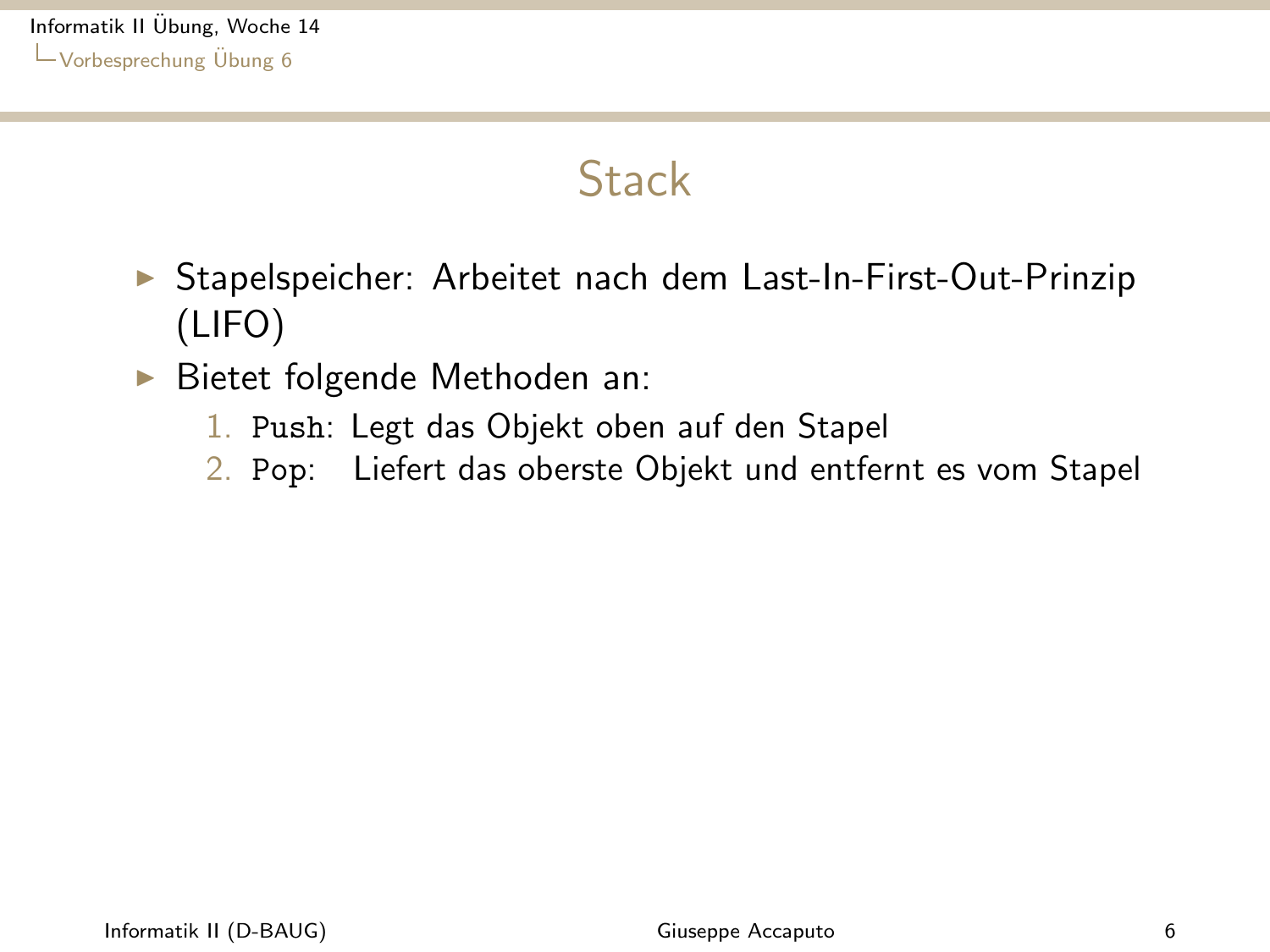### **Stack**

- <span id="page-5-0"></span>▶ Stapelspeicher: Arbeitet nach dem Last-In-First-Out-Prinzip (LIFO)
- $\blacktriangleright$  Bietet folgende Methoden an:
	- 1. Push: Legt das Objekt oben auf den Stapel
	- 2. Pop: Liefert das oberste Objekt und entfernt es vom Stapel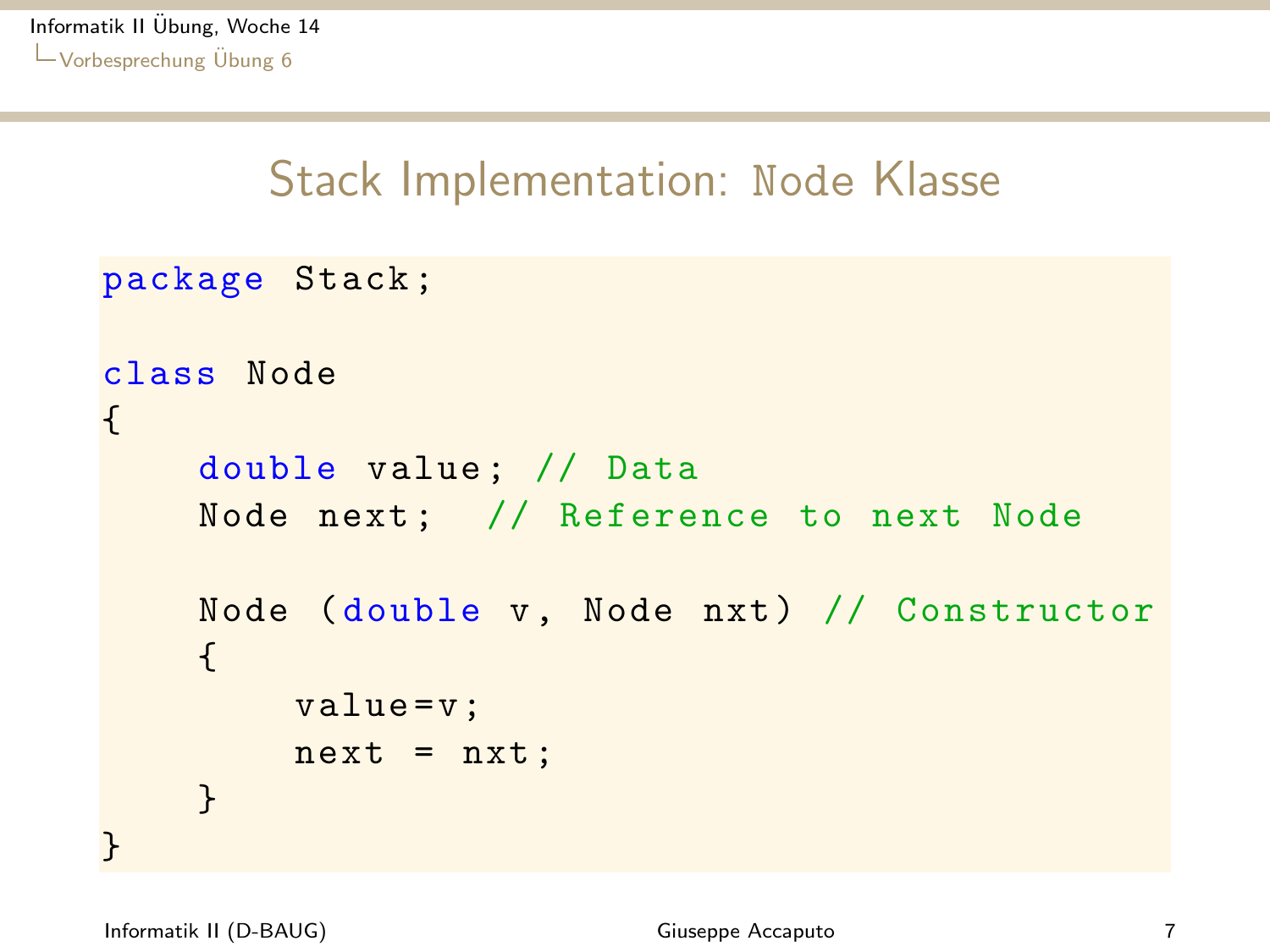### <span id="page-6-0"></span>Stack Implementation: Node Klasse

```
package Stack ;
class Node
{
    double value; // Data
    Node next; // Reference to next Node
    Node (double v, Node nxt) // Constructor
    {
        value = v;
        next = nxt;
    }
}
```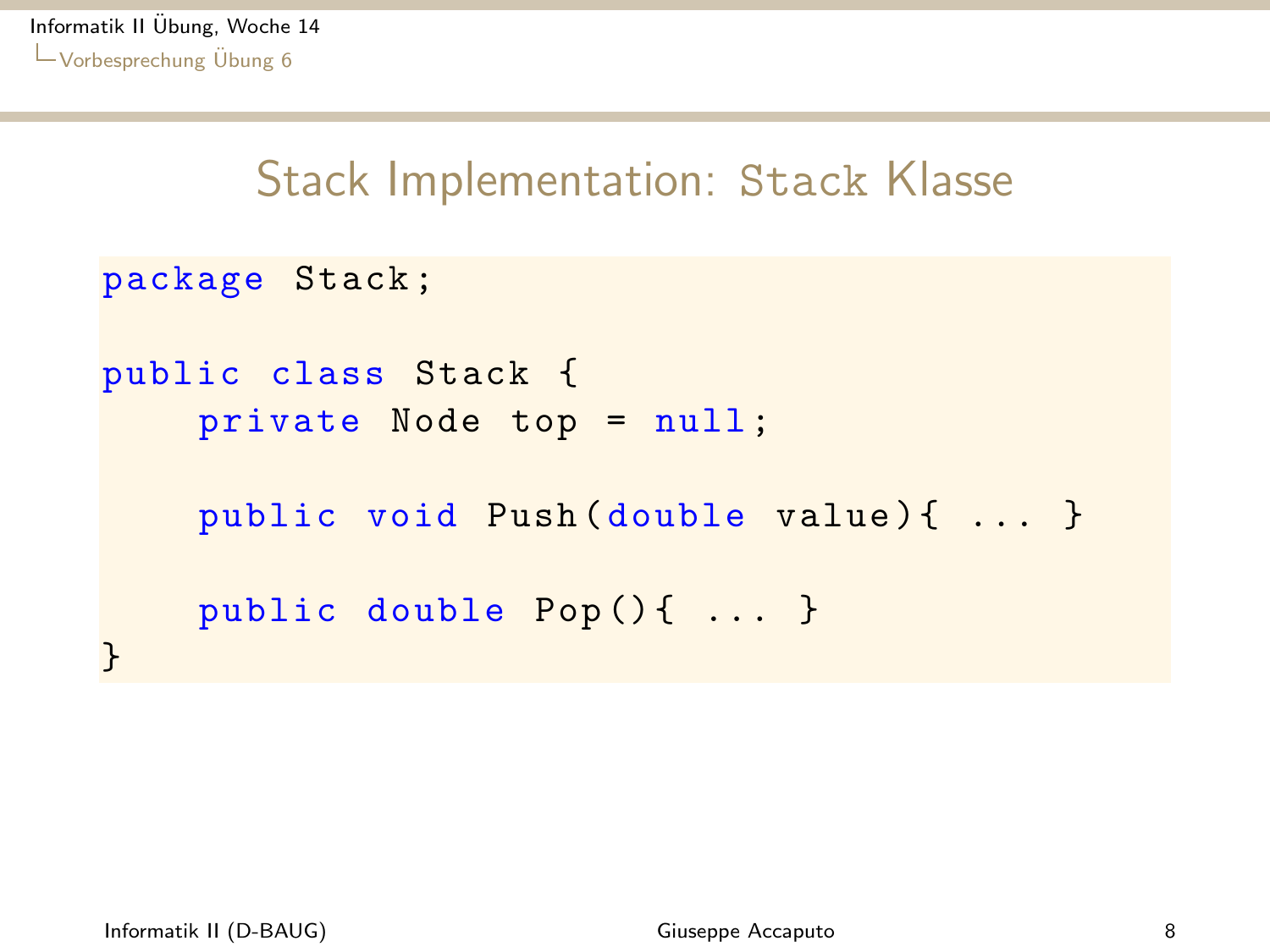### <span id="page-7-0"></span>Stack Implementation: Stack Klasse

```
package Stack ;
public class Stack {
    private Node top = null ;
    public void Push (double value) { ... }
    public double Pop() { ... }
}
```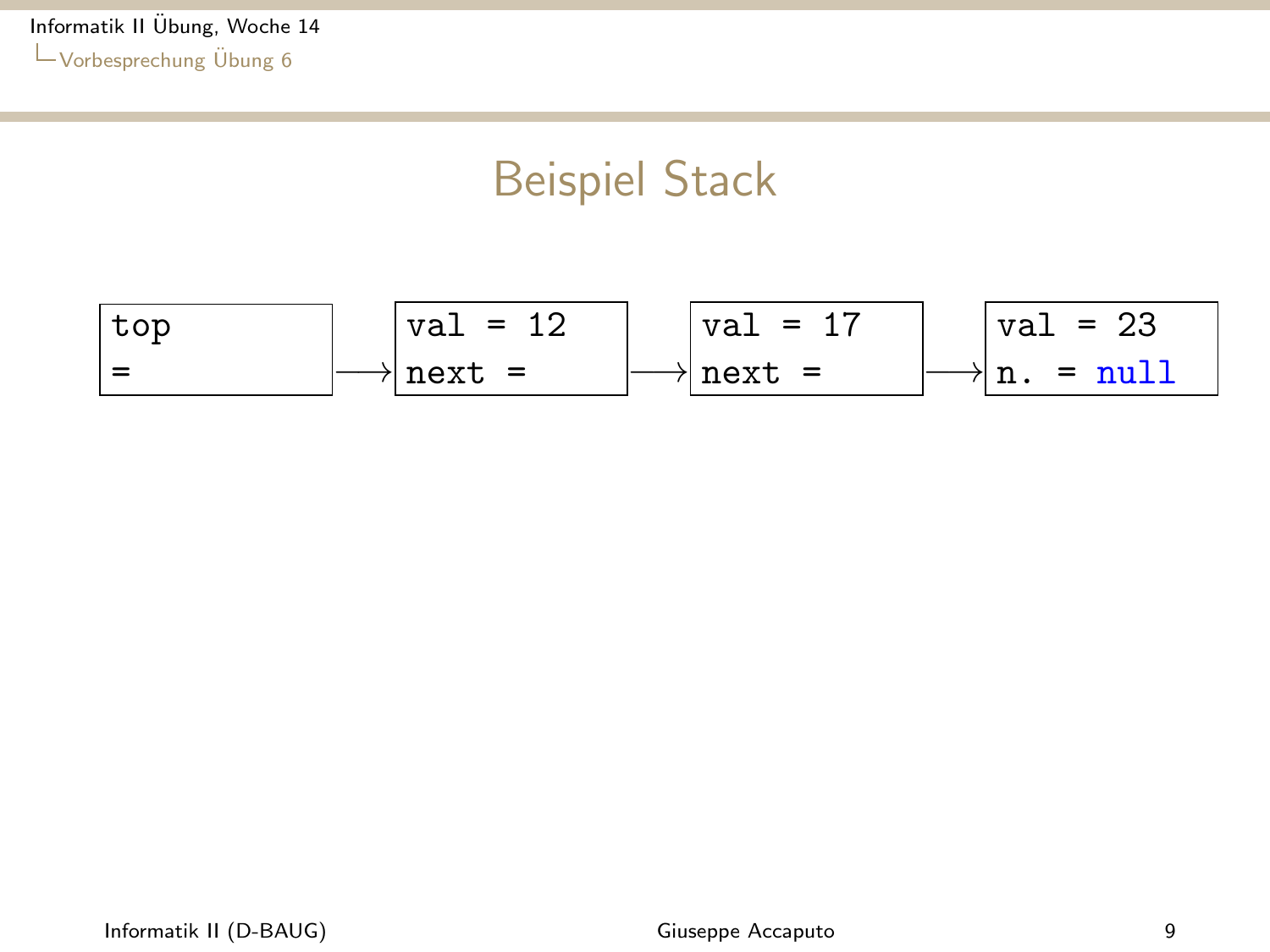### Beispiel Stack

<span id="page-8-0"></span>top = −→ val = 12 next = −→ val = 17 next = −→ val = 23 n. = null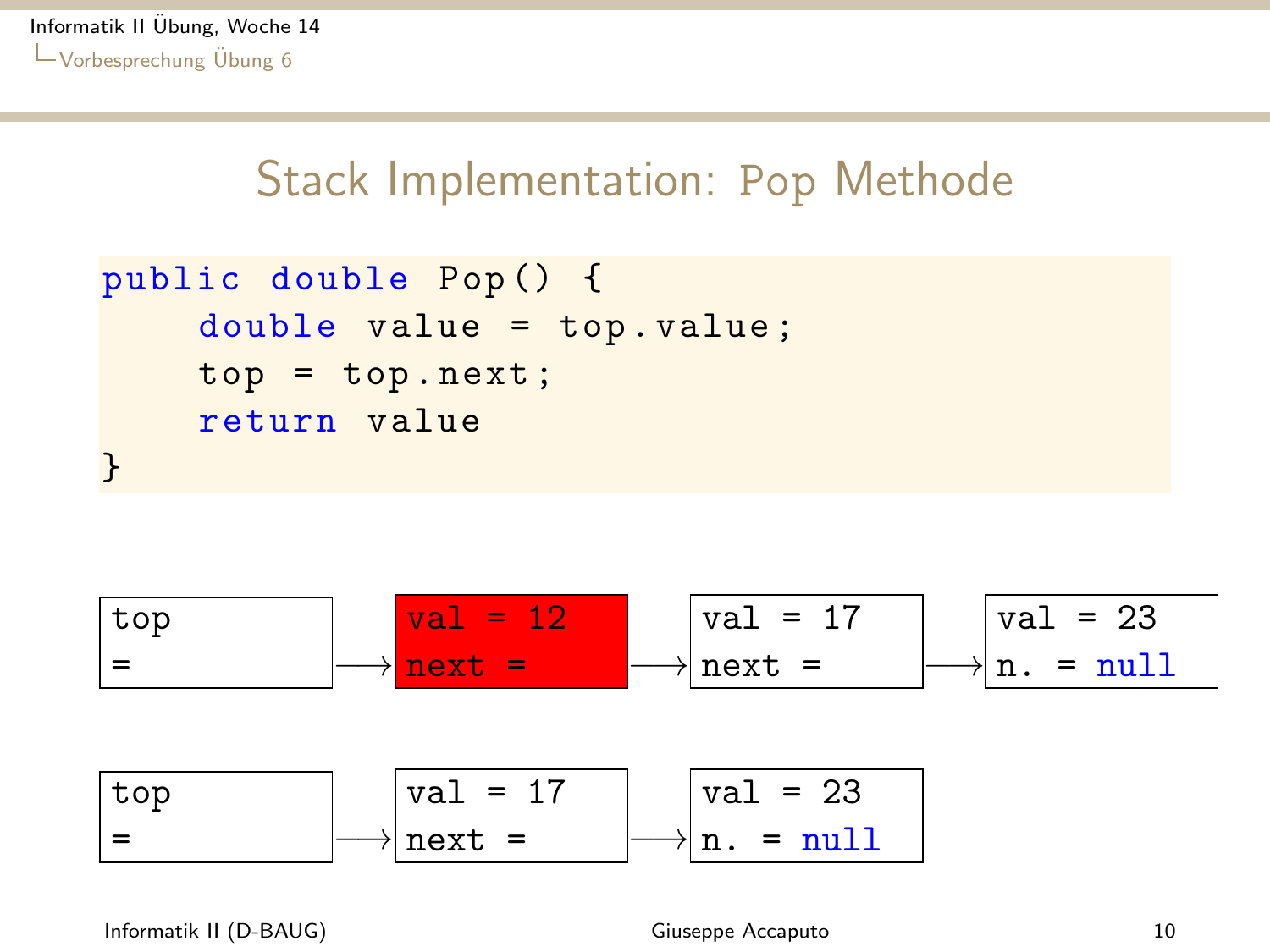### <span id="page-9-0"></span>Stack Implementation: Pop Methode

```
public double Pop () {
    double value = top . value ;
    top = top.next;return value
}
```
top = −→ val = 12 next = −→ val = 17 next = −→ val = 23 n. = null top = −→ val = 17 next = −→ val = 23 n. = null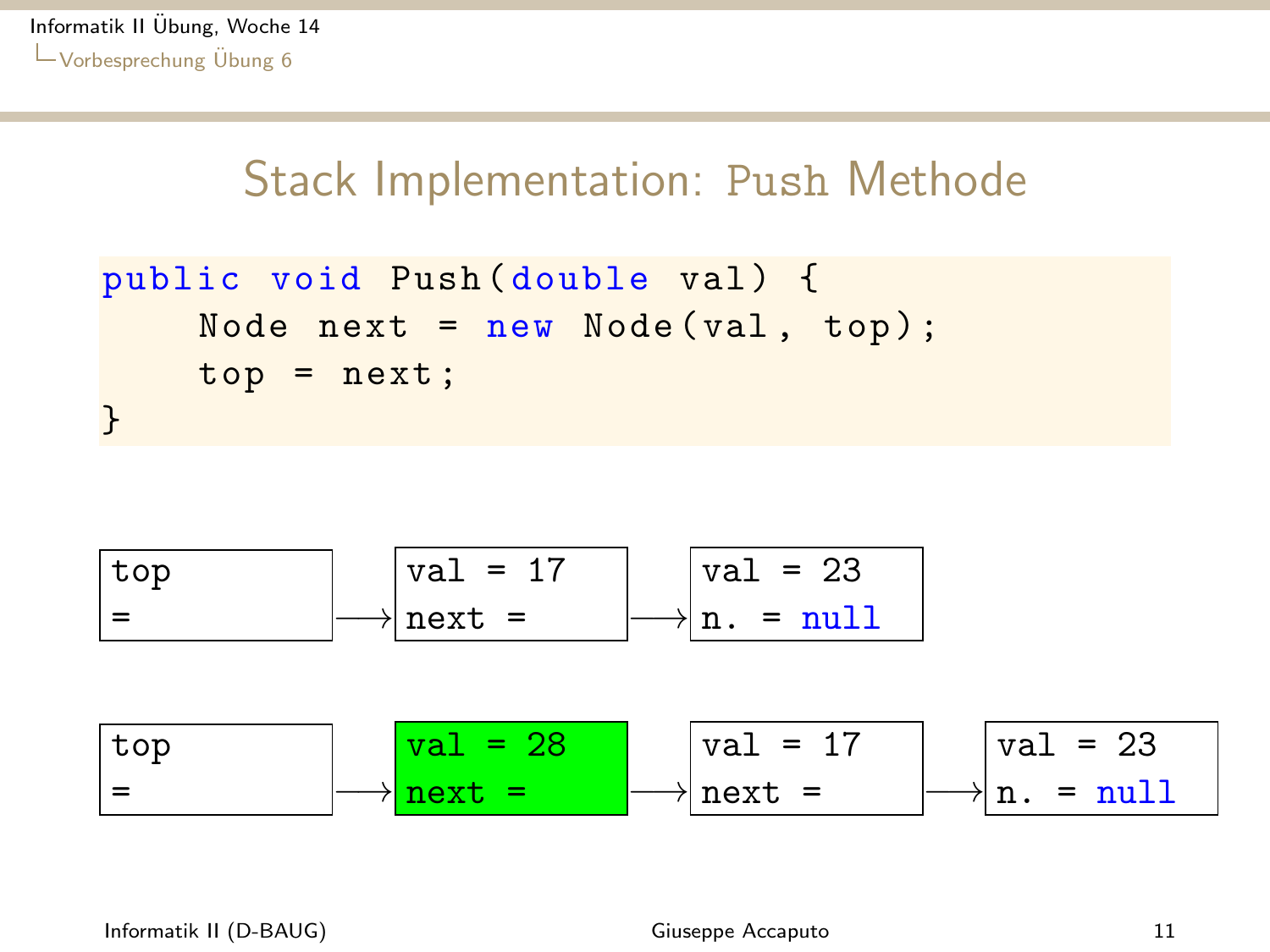### <span id="page-10-0"></span>Stack Implementation: Push Methode

```
public void Push (double val) {
    Node next = new Node(val, top);top = next;}
```
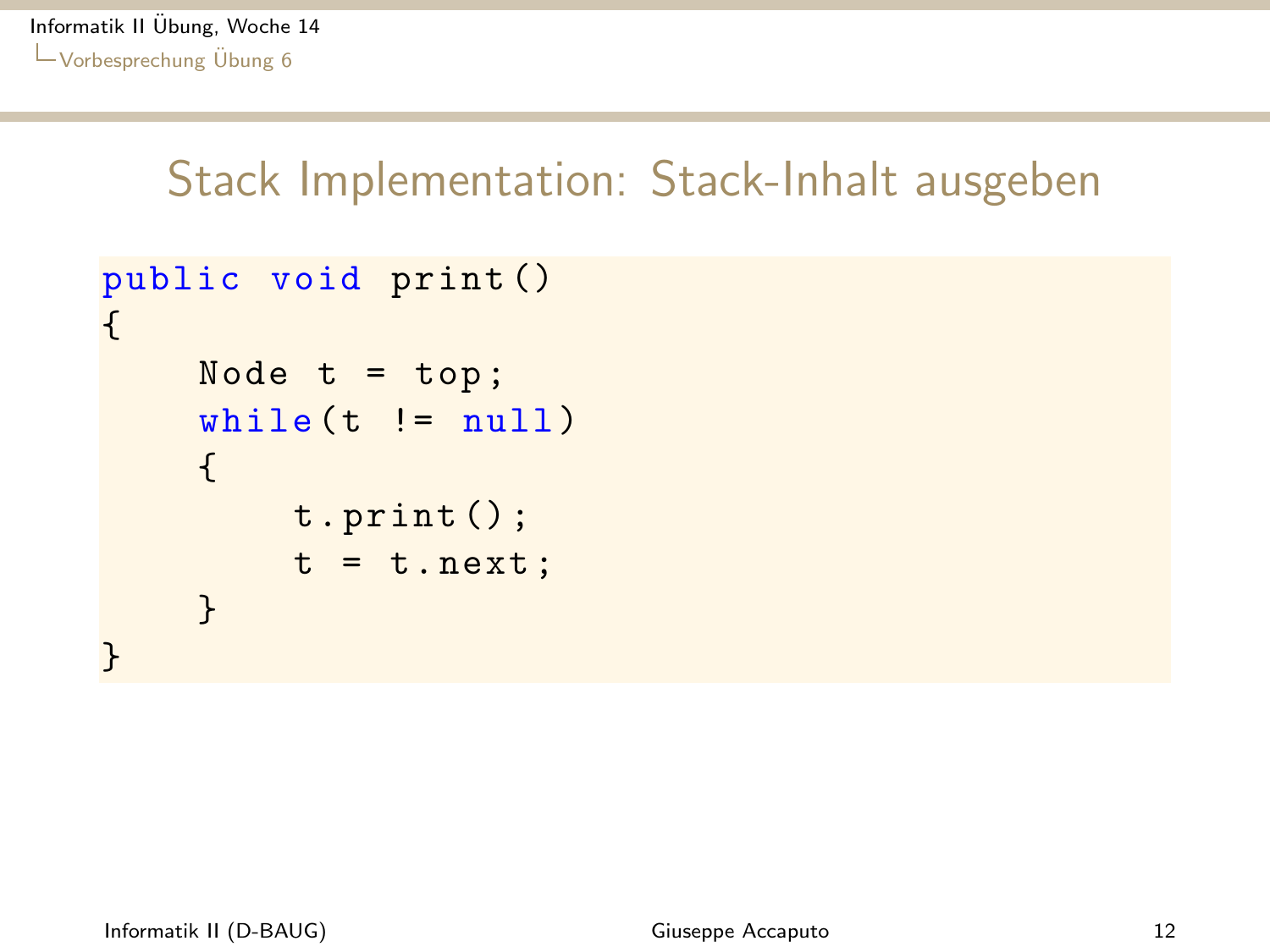```
public void print ()
{
     Node t = top;while ( t \mid = null ){
          t . print () ;
          t = t \cdot next;}
}
```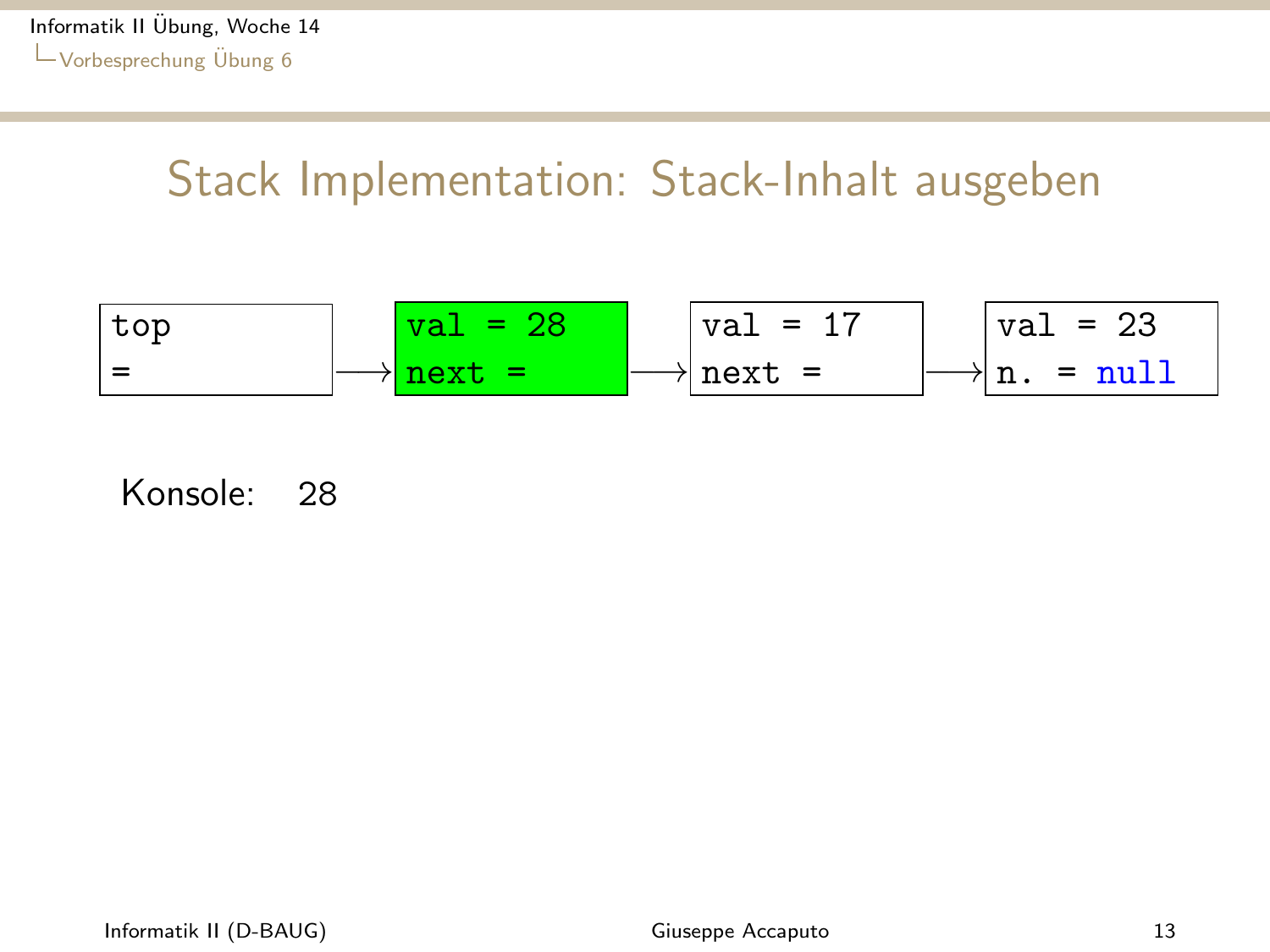<span id="page-12-0"></span>
$$
\begin{array}{|c|c|c|c|c|c|c|c|}\n\hline \text{top} & \text{val} = 28 & \text{val} = 17 & \text{val} = 23 \\
\hline \end{array}
$$
\n
$$
\begin{array}{|c|c|c|c|c|c|c|c|}\n\hline \text{val} = 23 & \text{next} = & \text{null} \\
\hline \end{array}
$$

Konsole: 28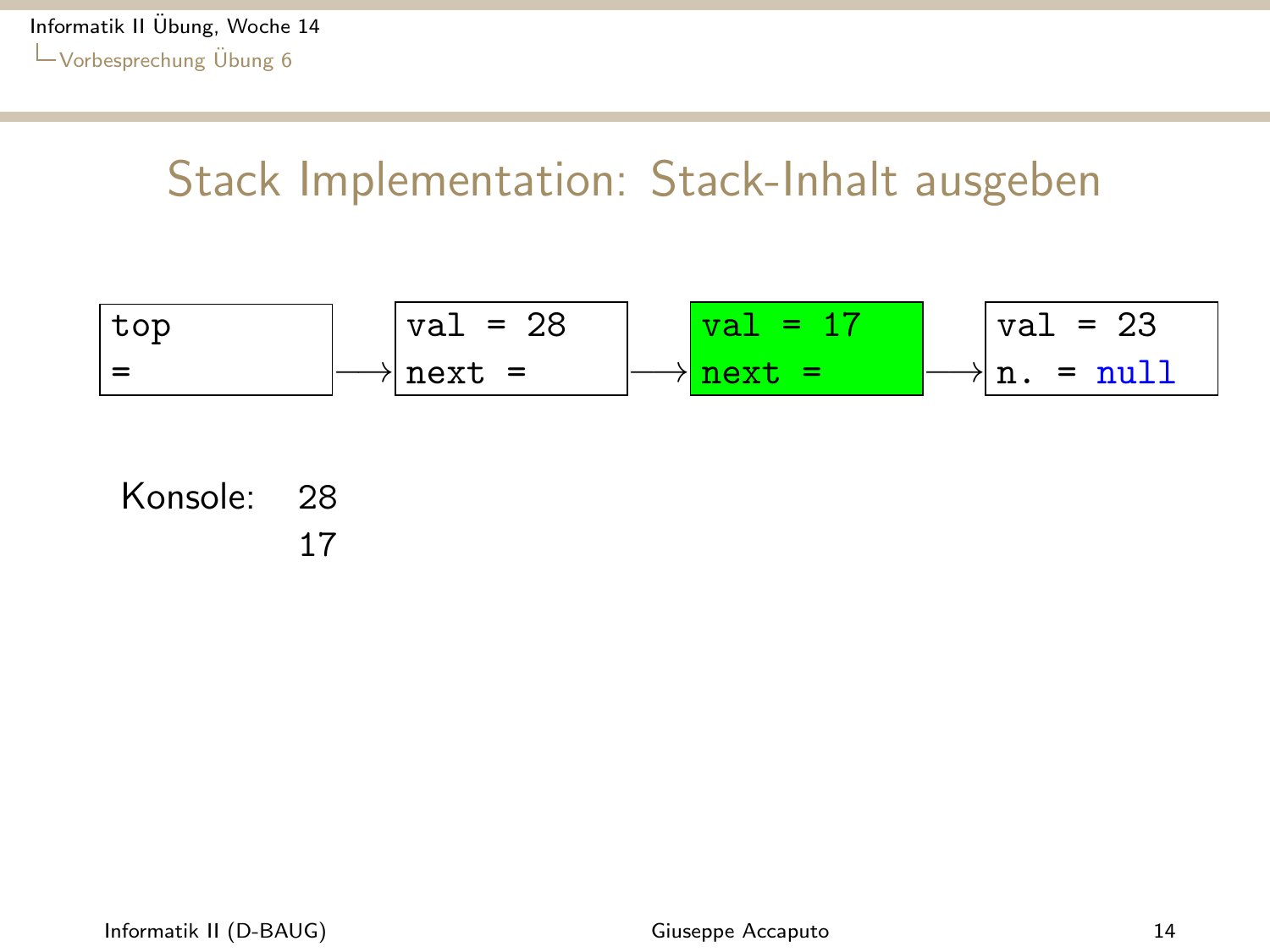<span id="page-13-0"></span>top = −→ val = 28 next = −→ val = 17 next = −→ val = 23 n. = null

#### Konsole: 28 17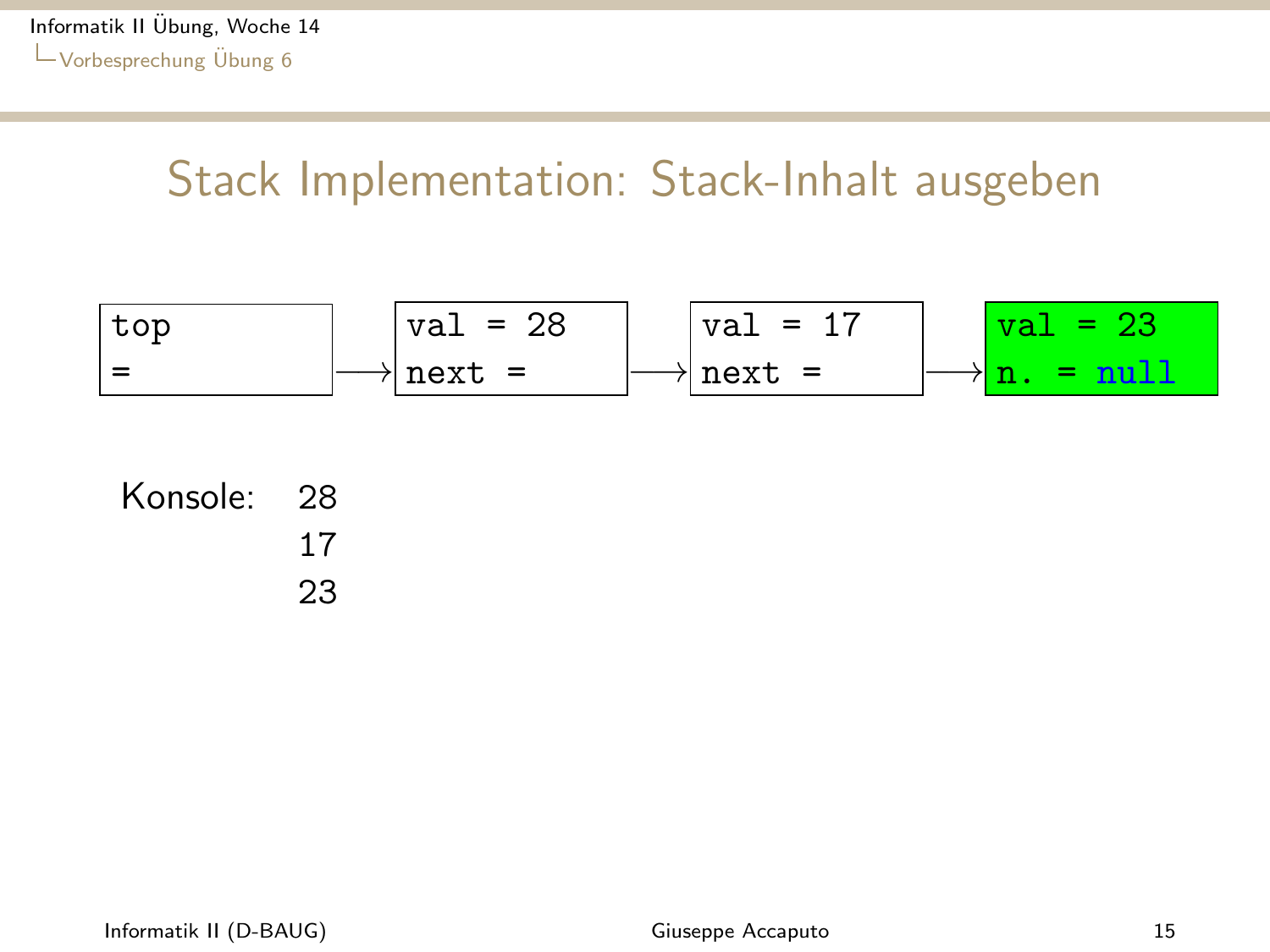<span id="page-14-0"></span>top = −→ val = 28 next = −→ val = 17 next = −→ val = 23 n. = null

| Konsole: 28 |    |
|-------------|----|
|             | 17 |
|             | 23 |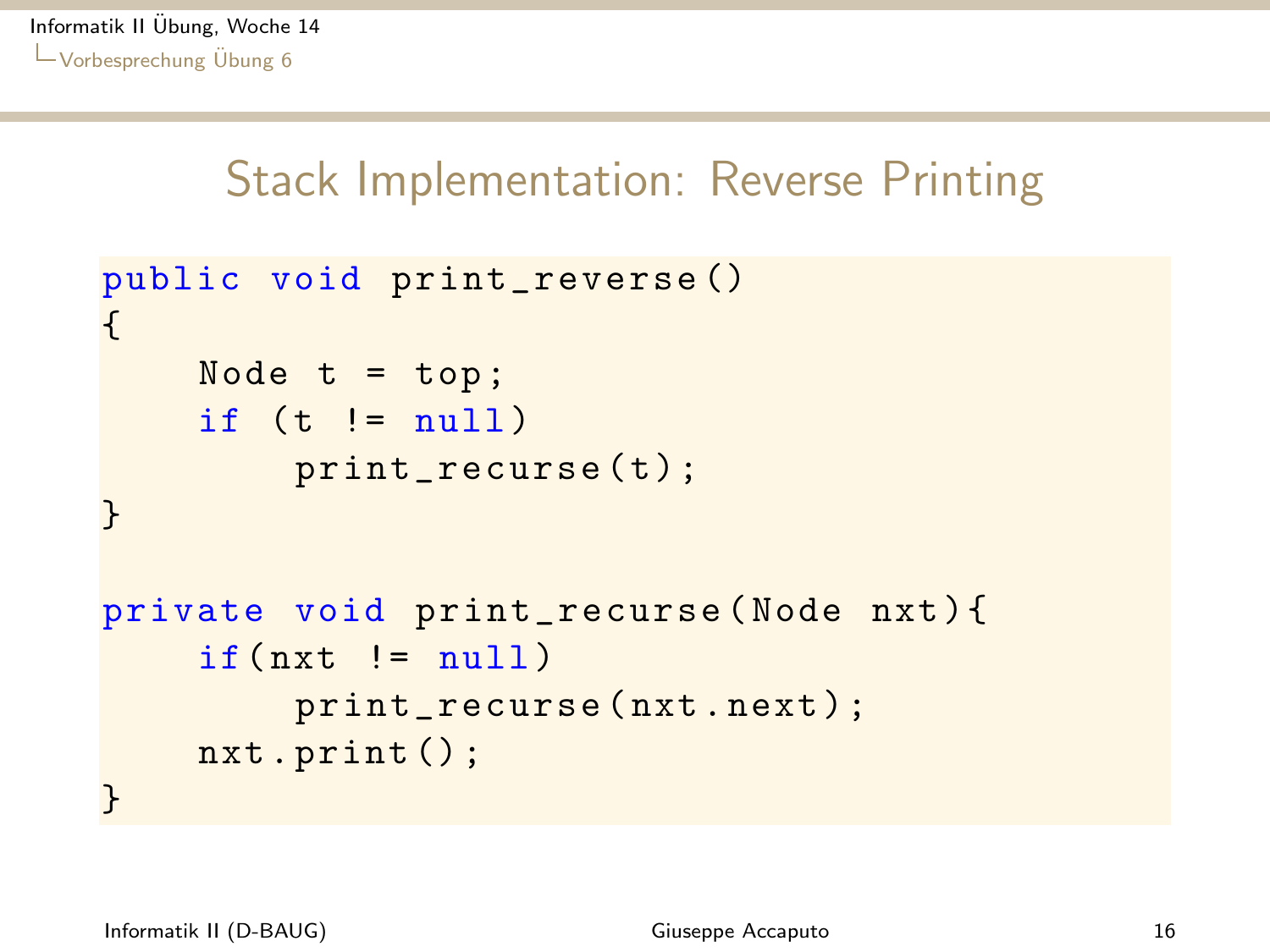```
public void print_reverse ()
{
    Node t = top;if (t != null)print_recurse(t);
}
private void print_recurse ( Node nxt ) {
    if(nxt := null)print_recurse ( nxt . next ) ;
    nxt . print () ;
}
```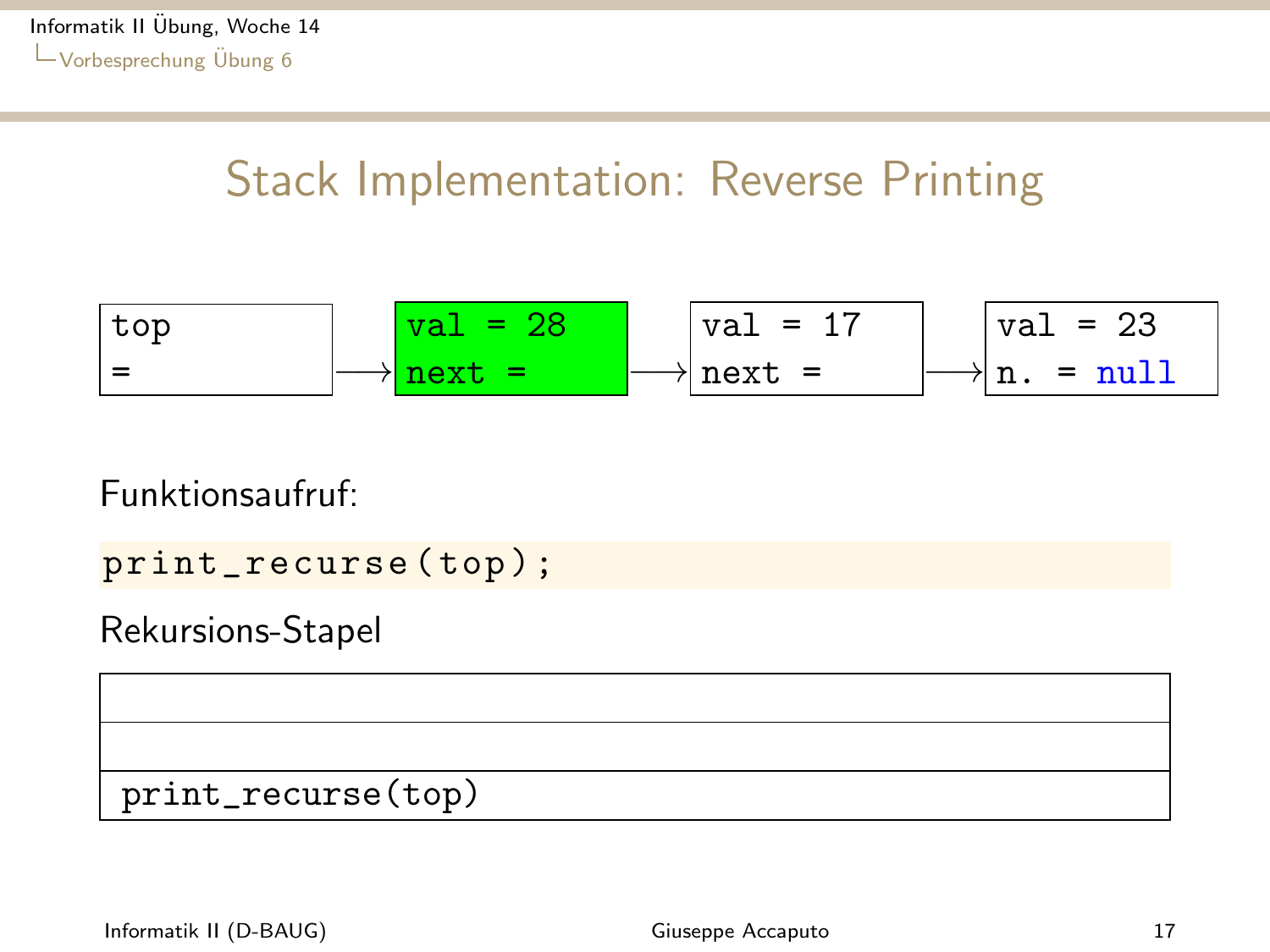<span id="page-16-0"></span>top = −→ val = 28 next = −→ val = 17 next = −→ val = 23 n. = null

Funktionsaufruf:

print\_recurse (top);

Rekursions-Stapel

print\_recurse(top)

Informatik II (D-BAUG) and the control of the control of Giuseppe Accaputo 17 and 17 and 17 and 17 and 17 and 17 and 17 and 17 and 17 and 17 and 17 and 17 and 17 and 17 and 17 and 17 and 17 and 17 and 17 and 17 and 17 and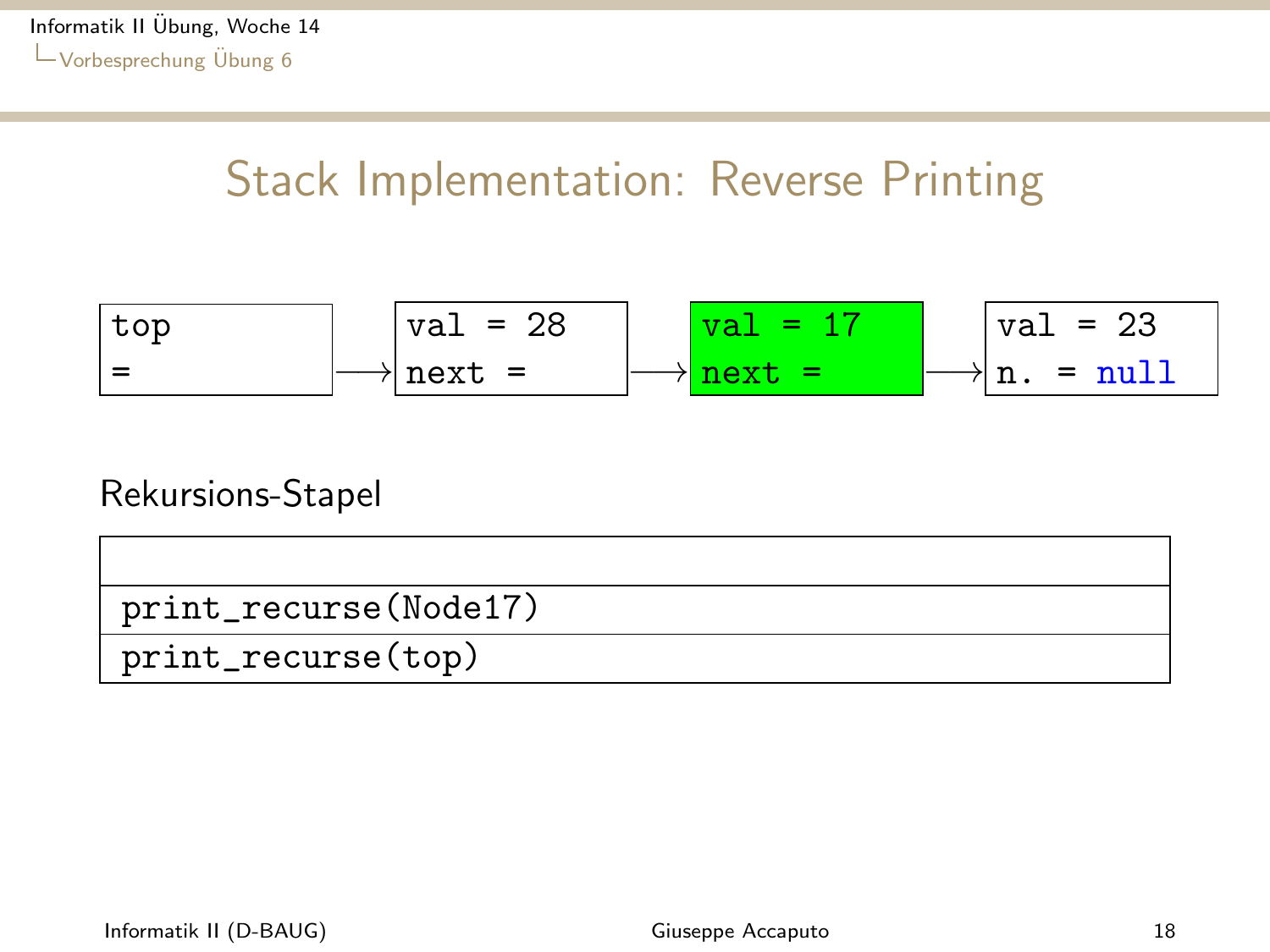<span id="page-17-0"></span>top = −→ val = 28 next = −→ val = 17 next = −→ val = 23 n. = null

#### Rekursions-Stapel

| print_recurse(Node17) |
|-----------------------|
| print_recurse(top)    |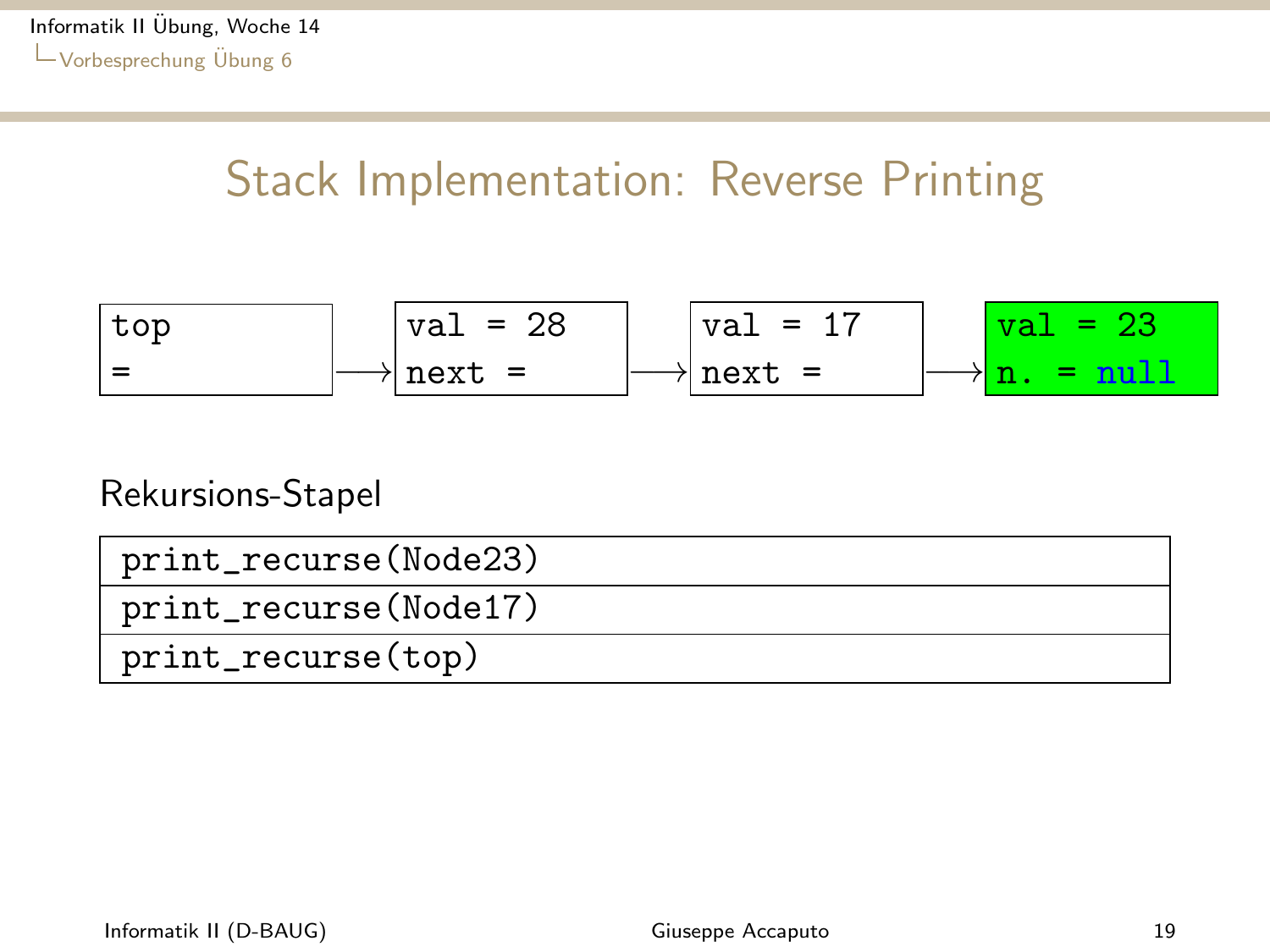<span id="page-18-0"></span>top = −→ val = 28 next = −→ val = 17 next = −→ val = 23 n. = null

#### Rekursions-Stapel

| print_recurse(Node23) |
|-----------------------|
| print_recurse(Node17) |
| print_recurse(top)    |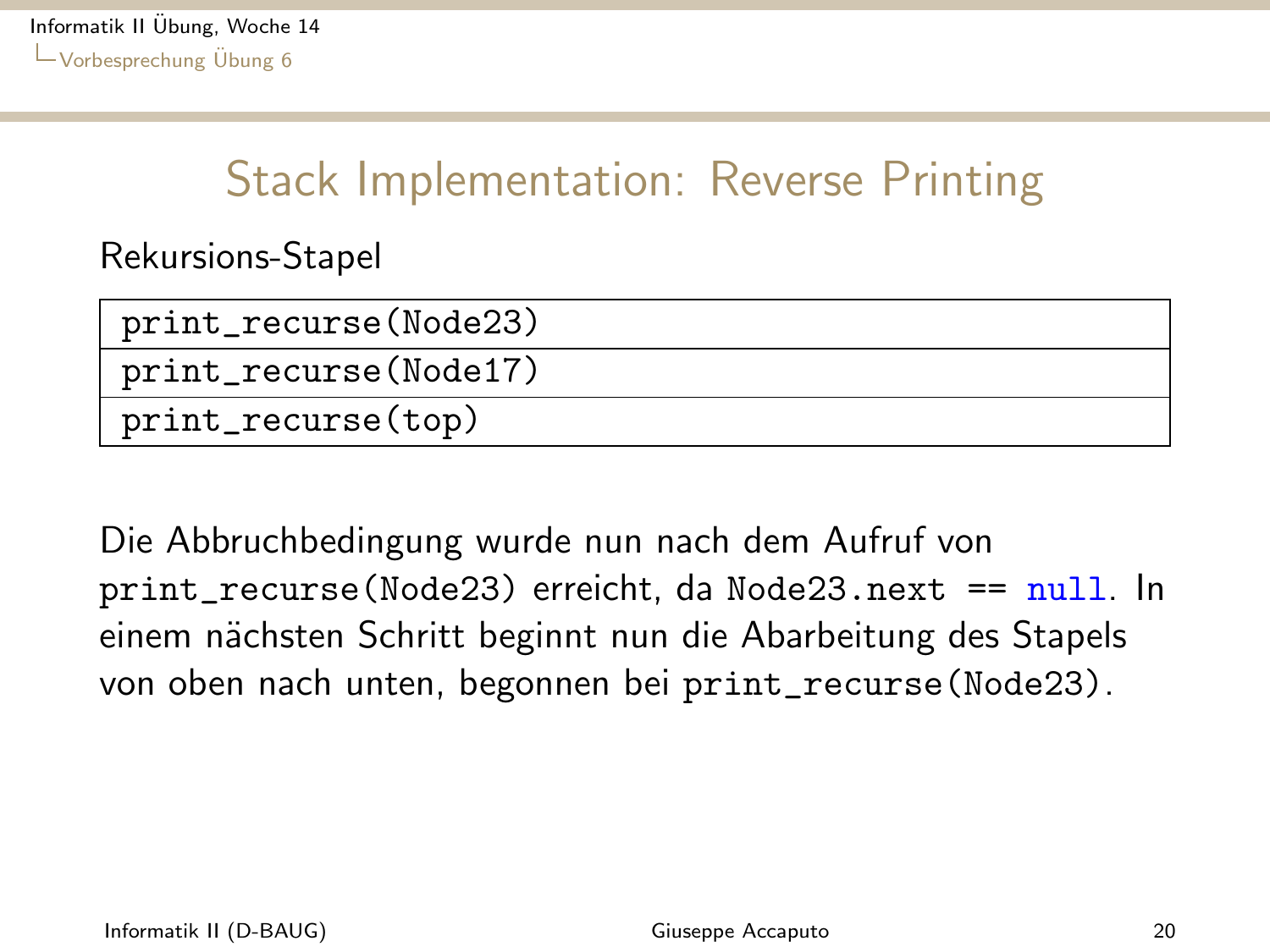<span id="page-19-0"></span>Rekursions-Stapel

| print_recurse(Node23) |
|-----------------------|
| print_recurse(Node17) |
| print_recurse(top)    |

Die Abbruchbedingung wurde nun nach dem Aufruf von print\_recurse(Node23) erreicht, da Node23.next == null. In einem nächsten Schritt beginnt nun die Abarbeitung des Stapels von oben nach unten, begonnen bei print\_recurse(Node23).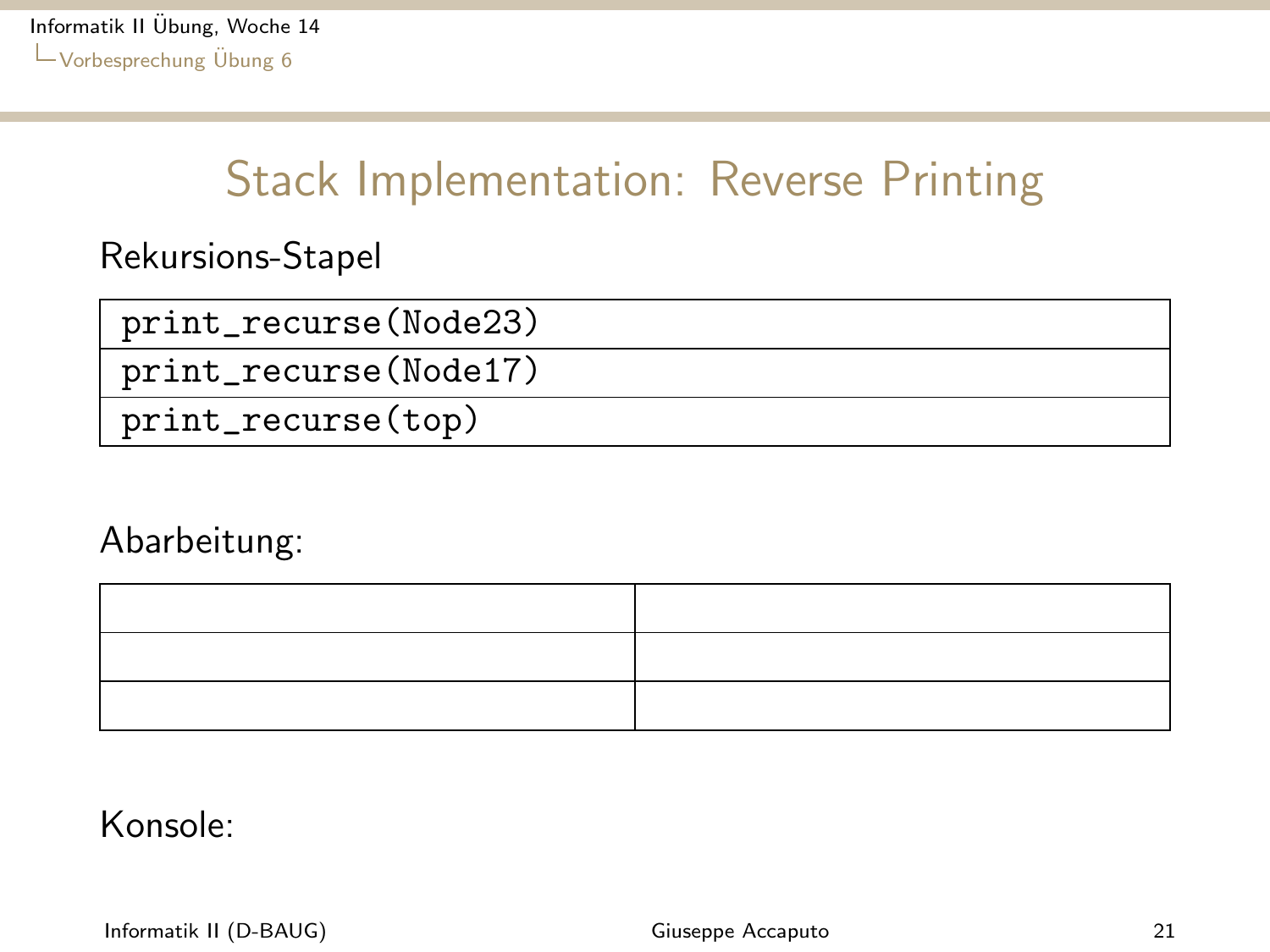<span id="page-20-0"></span>Rekursions-Stapel

| print_recurse(Node23) |
|-----------------------|
| print_recurse(Node17) |
| print_recurse(top)    |

Abarbeitung:



Konsole:

Informatik II (D-BAUG) and the control of the control of Giuseppe Accaputo 21 and 21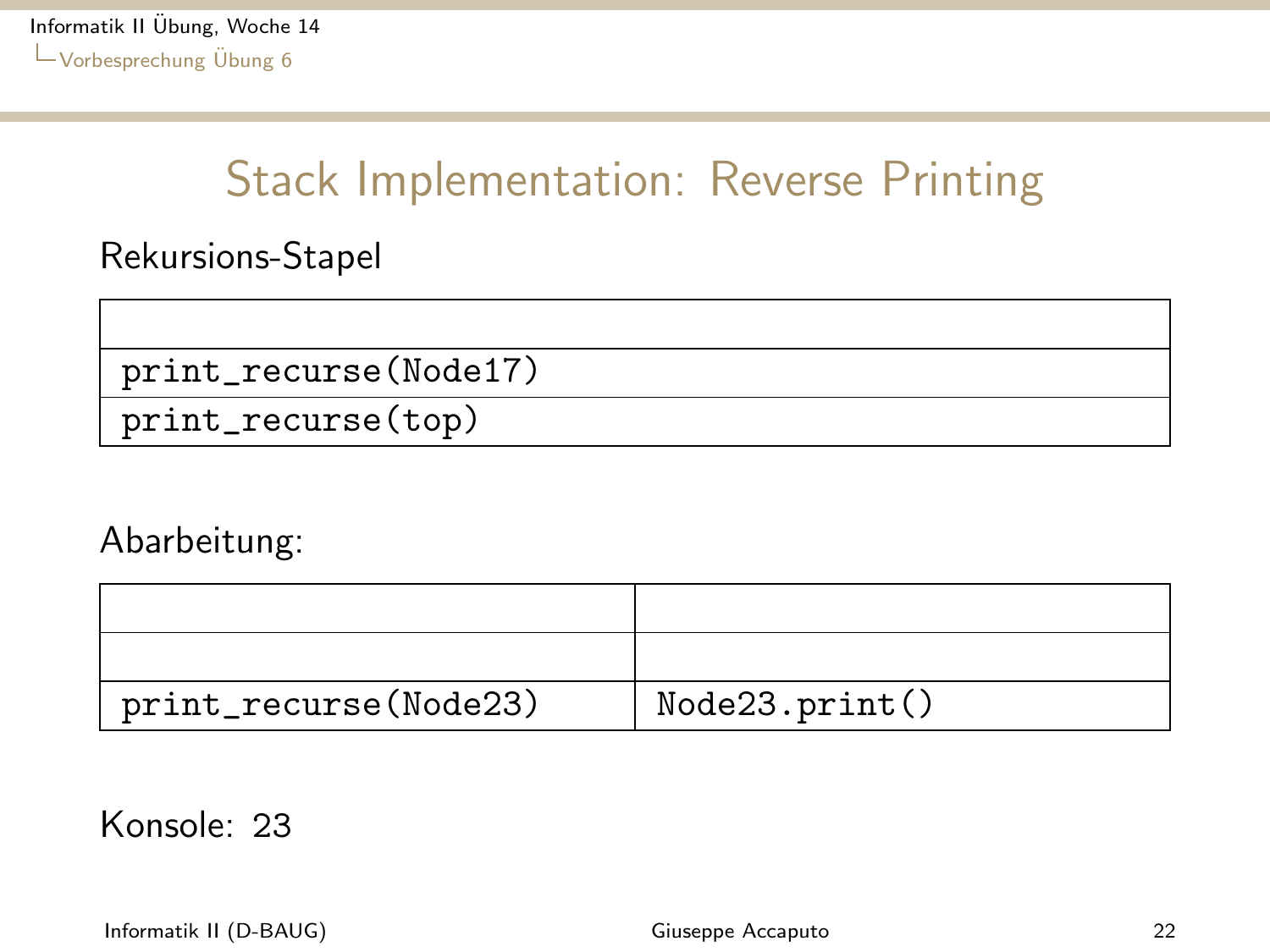<span id="page-21-0"></span>Rekursions-Stapel

print\_recurse(Node17)

print\_recurse(top)

Abarbeitung:

| print_recurse(Node23) | Node23.print() |
|-----------------------|----------------|

Konsole: 23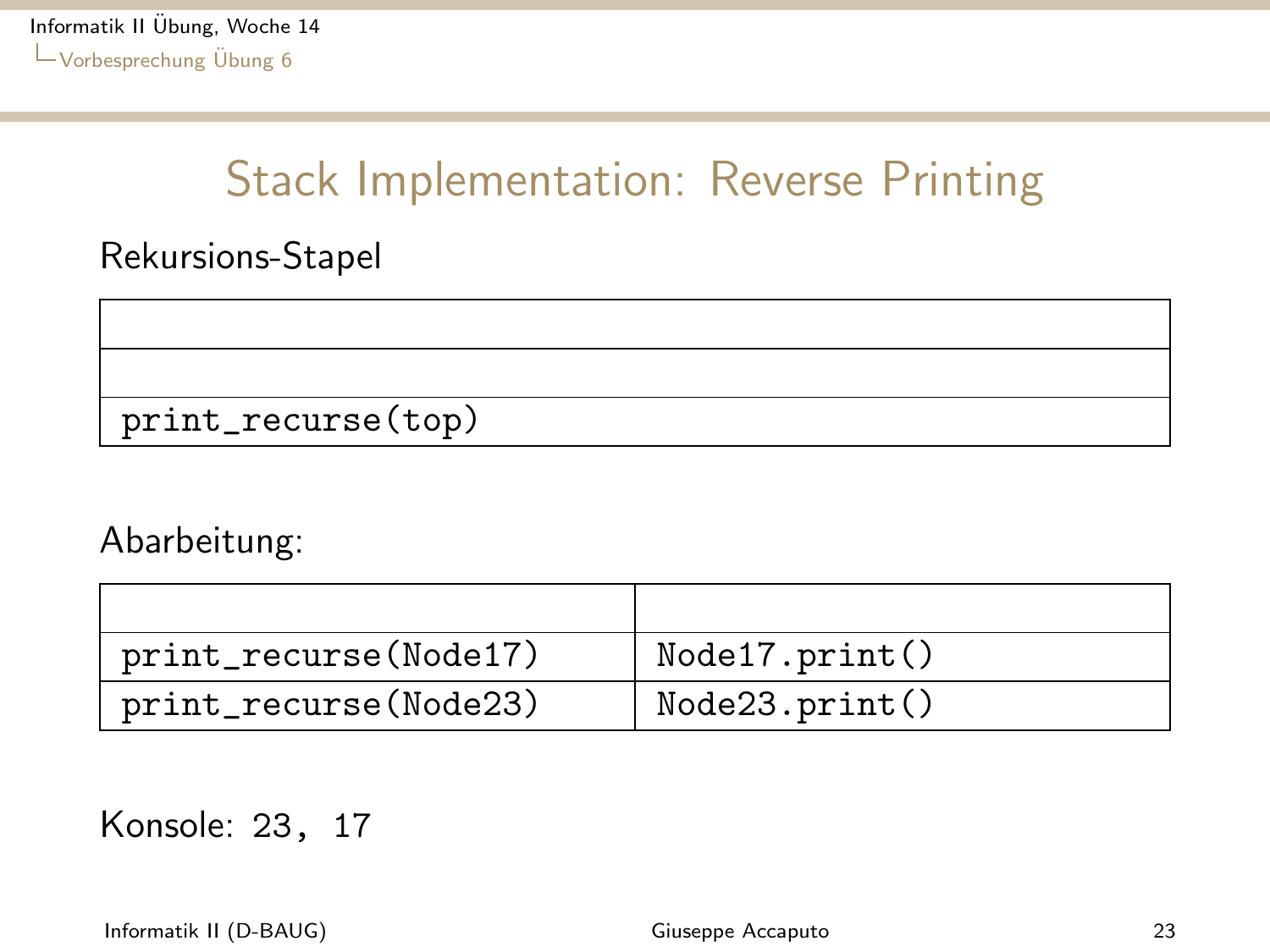<span id="page-22-0"></span>Rekursions-Stapel

print\_recurse(top)

Abarbeitung:

| print_recurse(Node17) | Node17.print() |
|-----------------------|----------------|
| print_recurse(Node23) | Node23.print() |

Konsole: 23, 17